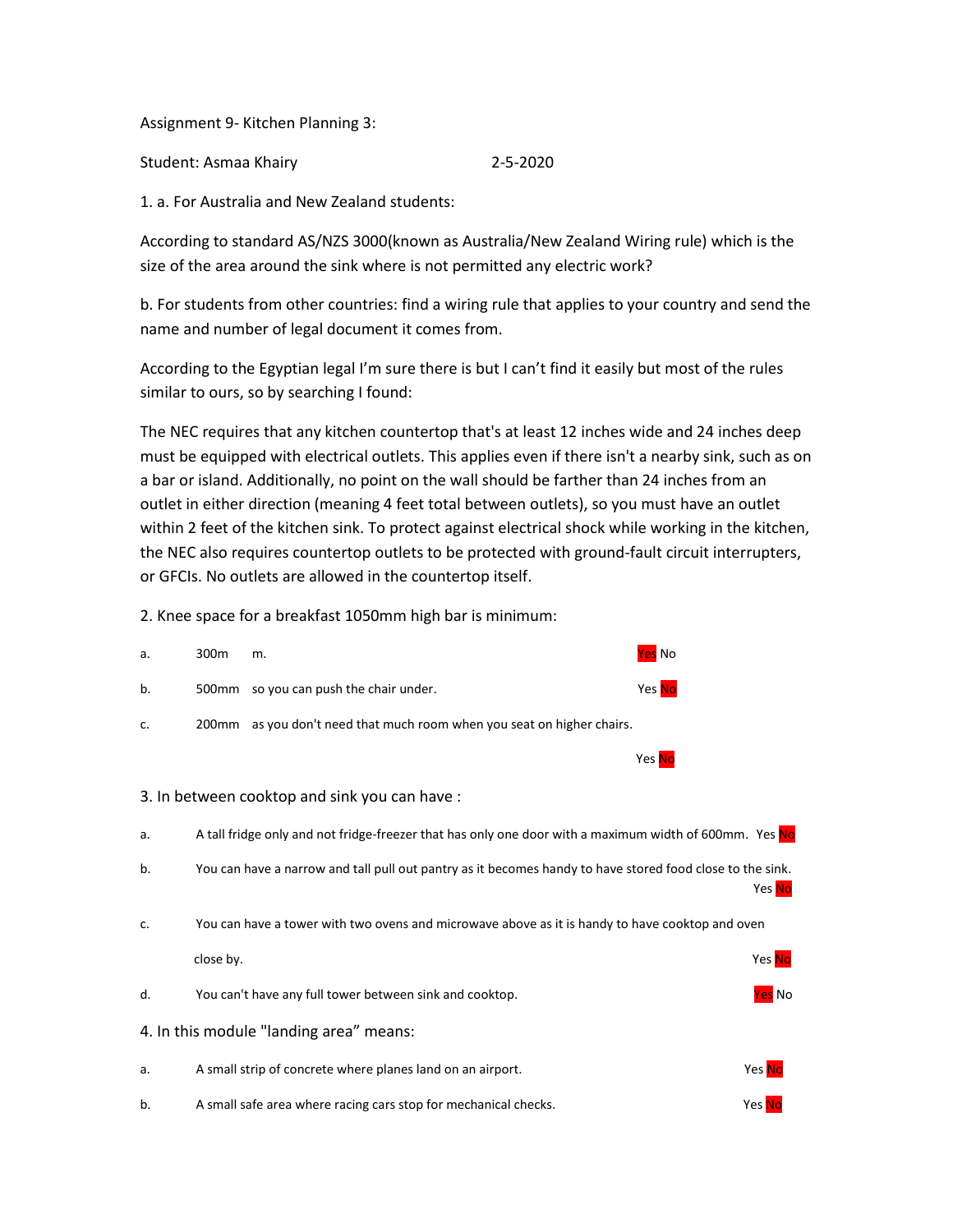Assignment 9- Kitchen Planning 3:

Student: Asmaa Khairy 2-5-2020

1. a. For Australia and New Zealand students:

According to standard AS/NZS 3000(known as Australia/New Zealand Wiring rule) which is the size of the area around the sink where is not permitted any electric work?

b. For students from other countries: find a wiring rule that applies to your country and send the name and number of legal document it comes from.

According to the Egyptian legal I'm sure there is but I can't find it easily but most of the rules similar to ours, so by searching I found:

The NEC requires that any kitchen countertop that's at least 12 inches wide and 24 inches deep must be equipped with electrical outlets. This applies even if there isn't a nearby sink, such as on a bar or island. Additionally, no point on the wall should be farther than 24 inches from an outlet in either direction (meaning 4 feet total between outlets), so you must have an outlet within 2 feet of the kitchen sink. To protect against electrical shock while working in the kitchen, the NEC also requires countertop outlets to be protected with ground-fault circuit interrupters, or GFCIs. No outlets are allowed in the countertop itself.

2. Knee space for a breakfast 1050mm high bar is minimum:

| a.                                           | 300m                                                                                                   | m.                                                                                                        | <mark>Yes</mark> No |                     |  |
|----------------------------------------------|--------------------------------------------------------------------------------------------------------|-----------------------------------------------------------------------------------------------------------|---------------------|---------------------|--|
| b.                                           |                                                                                                        | 500mm so you can push the chair under.                                                                    | Yes <mark>No</mark> |                     |  |
| c.                                           |                                                                                                        | 200mm as you don't need that much room when you seat on higher chairs.                                    |                     |                     |  |
|                                              |                                                                                                        |                                                                                                           | Yes No              |                     |  |
| 3. In between cooktop and sink you can have: |                                                                                                        |                                                                                                           |                     |                     |  |
| a.                                           | A tall fridge only and not fridge-freezer that has only one door with a maximum width of 600mm. Yes No |                                                                                                           |                     |                     |  |
| b.                                           |                                                                                                        | You can have a narrow and tall pull out pantry as it becomes handy to have stored food close to the sink. |                     | Yes No              |  |
| c.                                           |                                                                                                        | You can have a tower with two ovens and microwave above as it is handy to have cooktop and oven           |                     |                     |  |
|                                              | close by.                                                                                              |                                                                                                           |                     | Yes <mark>No</mark> |  |
| d.                                           |                                                                                                        | You can't have any full tower between sink and cooktop.                                                   |                     | <mark>Yes</mark> No |  |
| 4. In this module "landing area" means:      |                                                                                                        |                                                                                                           |                     |                     |  |
| а.                                           |                                                                                                        | A small strip of concrete where planes land on an airport.                                                |                     | Yes No              |  |
| b.                                           |                                                                                                        | A small safe area where racing cars stop for mechanical checks.                                           |                     | Yes No              |  |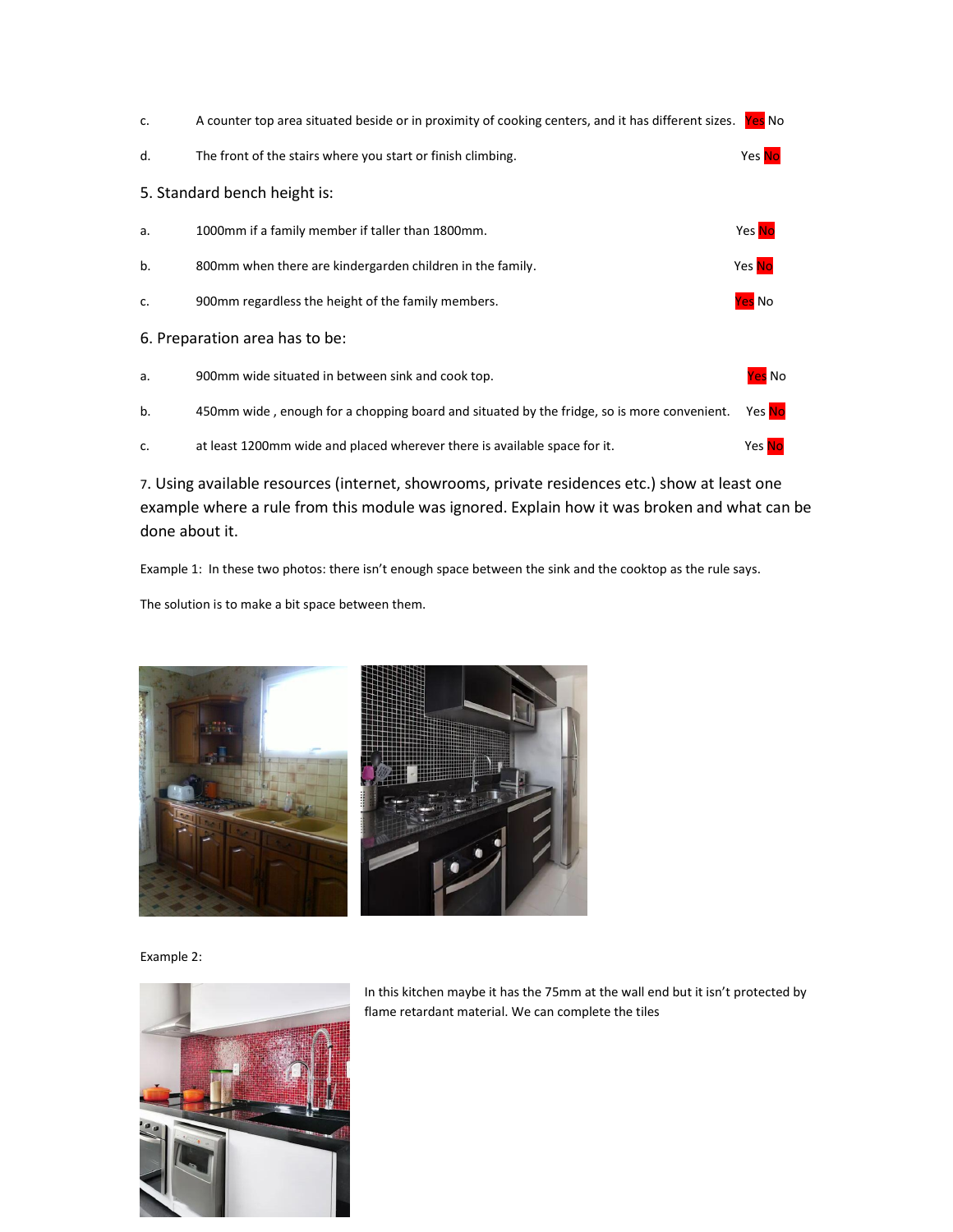| c.                             | A counter top area situated beside or in proximity of cooking centers, and it has different sizes. | Yes No              |  |  |  |
|--------------------------------|----------------------------------------------------------------------------------------------------|---------------------|--|--|--|
| d.                             | The front of the stairs where you start or finish climbing.                                        | Yes No              |  |  |  |
| 5. Standard bench height is:   |                                                                                                    |                     |  |  |  |
| a.                             | 1000mm if a family member if taller than 1800mm.                                                   | Yes No              |  |  |  |
| b.                             | 800mm when there are kindergarden children in the family.                                          | Yes No              |  |  |  |
| c.                             | 900mm regardless the height of the family members.                                                 | Yes No              |  |  |  |
| 6. Preparation area has to be: |                                                                                                    |                     |  |  |  |
| a.                             | 900mm wide situated in between sink and cook top.                                                  | Yes No              |  |  |  |
| b.                             | 450mm wide, enough for a chopping board and situated by the fridge, so is more convenient.         | Yes <mark>No</mark> |  |  |  |
| c.                             | at least 1200mm wide and placed wherever there is available space for it.                          | Yes No              |  |  |  |

7. Using available resources (internet, showrooms, private residences etc.) show at least one example where a rule from this module was ignored. Explain how it was broken and what can be done about it.

Example 1: In these two photos: there isn't enough space between the sink and the cooktop as the rule says.

The solution is to make a bit space between them.



Example 2:



In this kitchen maybe it has the 75mm at the wall end but it isn't protected by flame retardant material. We can complete the tiles